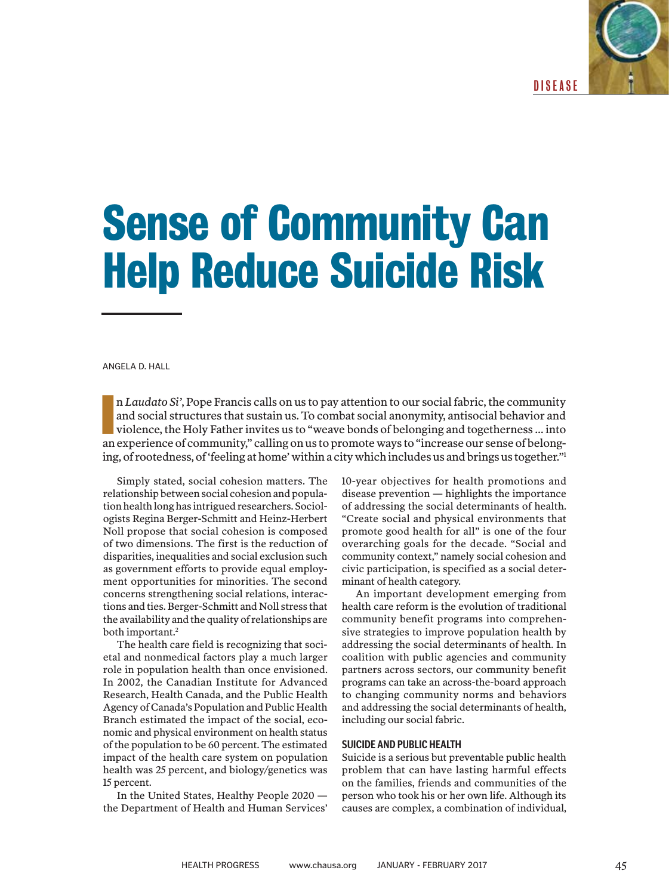DISEASE

# **Sense of Community Can Help Reduce Suicide Risk**

ANGELA D. HALL

II Laudato Si', Pope Francis calls on us to pay attention to our social fabric, the community and social structures that sustain us. To combat social anonymity, antisocial behavior and violence, the Holy Father invites us n *Laudato Si'*, Pope Francis calls on us to pay attention to our social fabric, the community and social structures that sustain us. To combat social anonymity, antisocial behavior and violence, the Holy Father invites us to "weave bonds of belonging and togetherness … into ing, of rootedness, of 'feeling at home' within a city which includes us and brings us together."<sup>1</sup>

Simply stated, social cohesion matters. The relationship between social cohesion and population health long has intrigued researchers. Sociologists Regina Berger-Schmitt and Heinz-Herbert Noll propose that social cohesion is composed of two dimensions. The first is the reduction of disparities, inequalities and social exclusion such as government efforts to provide equal employment opportunities for minorities. The second concerns strengthening social relations, interactions and ties. Berger-Schmitt and Noll stress that the availability and the quality of relationships are both important.<sup>2</sup>

The health care field is recognizing that societal and nonmedical factors play a much larger role in population health than once envisioned. In 2002, the Canadian Institute for Advanced Research, Health Canada, and the Public Health Agency of Canada's Population and Public Health Branch estimated the impact of the social, economic and physical environment on health status of the population to be 60 percent. The estimated impact of the health care system on population health was 25 percent, and biology/genetics was 15 percent.

In the United States, Healthy People 2020 the Department of Health and Human Services'

10-year objectives for health promotions and disease prevention — highlights the importance of addressing the social determinants of health. "Create social and physical environments that promote good health for all" is one of the four overarching goals for the decade. "Social and community context," namely social cohesion and civic participation, is specified as a social determinant of health category.

An important development emerging from health care reform is the evolution of traditional community benefit programs into comprehensive strategies to improve population health by addressing the social determinants of health. In coalition with public agencies and community partners across sectors, our community benefit programs can take an across-the-board approach to changing community norms and behaviors and addressing the social determinants of health, including our social fabric.

### **SUICIDE AND PUBLIC HEALTH**

Suicide is a serious but preventable public health problem that can have lasting harmful effects on the families, friends and communities of the person who took his or her own life. Although its causes are complex, a combination of individual,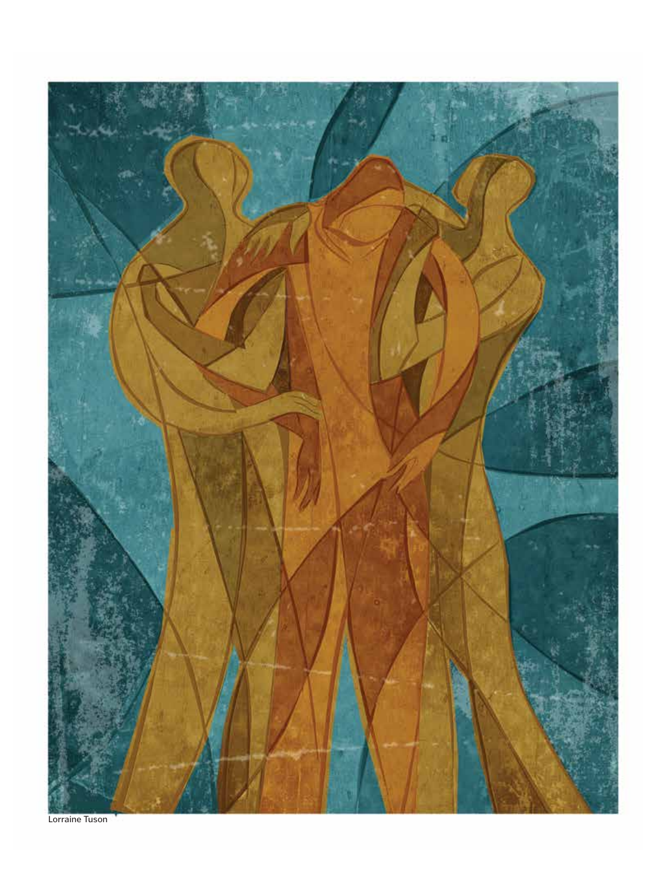

Lorraine Tuson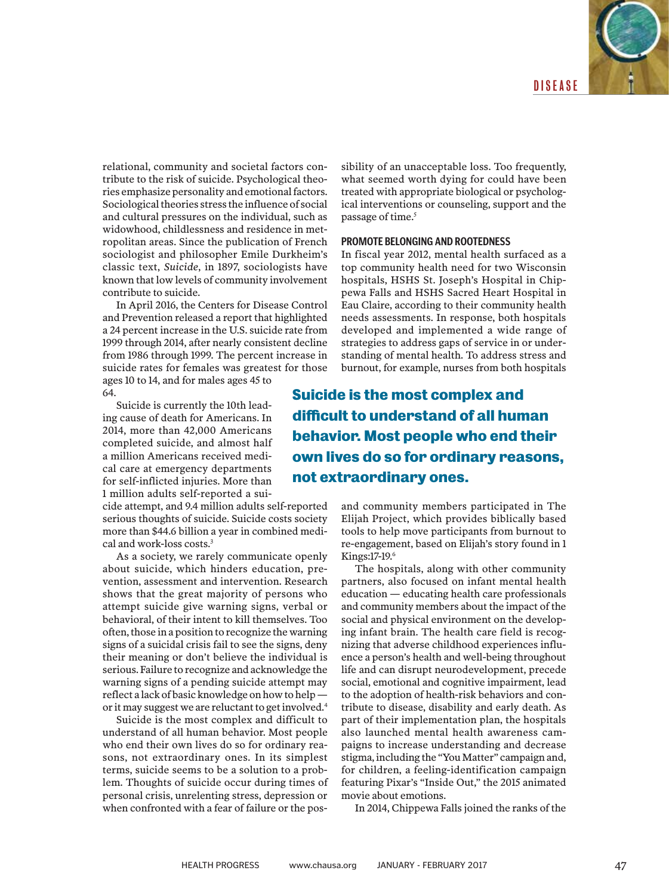

relational, community and societal factors contribute to the risk of suicide. Psychological theories emphasize personality and emotional factors. Sociological theories stress the influence of social and cultural pressures on the individual, such as widowhood, childlessness and residence in metropolitan areas. Since the publication of French sociologist and philosopher Emile Durkheim's classic text, *Suicide*, in 1897, sociologists have known that low levels of community involvement contribute to suicide.

In April 2016, the Centers for Disease Control and Prevention released a report that highlighted a 24 percent increase in the U.S. suicide rate from 1999 through 2014, after nearly consistent decline from 1986 through 1999. The percent increase in suicide rates for females was greatest for those ages 10 to 14, and for males ages 45 to

64. Suicide is currently the 10th lead-

ing cause of death for Americans. In 2014, more than 42,000 Americans completed suicide, and almost half a million Americans received medical care at emergency departments for self-inflicted injuries. More than 1 million adults self-reported a sui-

cide attempt, and 9.4 million adults self-reported serious thoughts of suicide. Suicide costs society more than \$44.6 billion a year in combined medical and work-loss costs.<sup>3</sup>

As a society, we rarely communicate openly about suicide, which hinders education, prevention, assessment and intervention. Research shows that the great majority of persons who attempt suicide give warning signs, verbal or behavioral, of their intent to kill themselves. Too often, those in a position to recognize the warning signs of a suicidal crisis fail to see the signs, deny their meaning or don't believe the individual is serious. Failure to recognize and acknowledge the warning signs of a pending suicide attempt may reflect a lack of basic knowledge on how to help or it may suggest we are reluctant to get involved.4

Suicide is the most complex and difficult to understand of all human behavior. Most people who end their own lives do so for ordinary reasons, not extraordinary ones. In its simplest terms, suicide seems to be a solution to a problem. Thoughts of suicide occur during times of personal crisis, unrelenting stress, depression or when confronted with a fear of failure or the pos-

sibility of an unacceptable loss. Too frequently, what seemed worth dying for could have been treated with appropriate biological or psychological interventions or counseling, support and the passage of time.<sup>5</sup>

## **PROMOTE BELONGING AND ROOTEDNESS**

In fiscal year 2012, mental health surfaced as a top community health need for two Wisconsin hospitals, HSHS St. Joseph's Hospital in Chippewa Falls and HSHS Sacred Heart Hospital in Eau Claire, according to their community health needs assessments. In response, both hospitals developed and implemented a wide range of strategies to address gaps of service in or understanding of mental health. To address stress and burnout, for example, nurses from both hospitals

**Suicide is the most complex and difficult to understand of all human behavior. Most people who end their own lives do so for ordinary reasons, not extraordinary ones.** 

> and community members participated in The Elijah Project, which provides biblically based tools to help move participants from burnout to re-engagement, based on Elijah's story found in 1 Kings:17-19.6

> The hospitals, along with other community partners, also focused on infant mental health education — educating health care professionals and community members about the impact of the social and physical environment on the developing infant brain. The health care field is recognizing that adverse childhood experiences influence a person's health and well-being throughout life and can disrupt neurodevelopment, precede social, emotional and cognitive impairment, lead to the adoption of health-risk behaviors and contribute to disease, disability and early death. As part of their implementation plan, the hospitals also launched mental health awareness campaigns to increase understanding and decrease stigma, including the "You Matter" campaign and, for children, a feeling-identification campaign featuring Pixar's "Inside Out," the 2015 animated movie about emotions.

In 2014, Chippewa Falls joined the ranks of the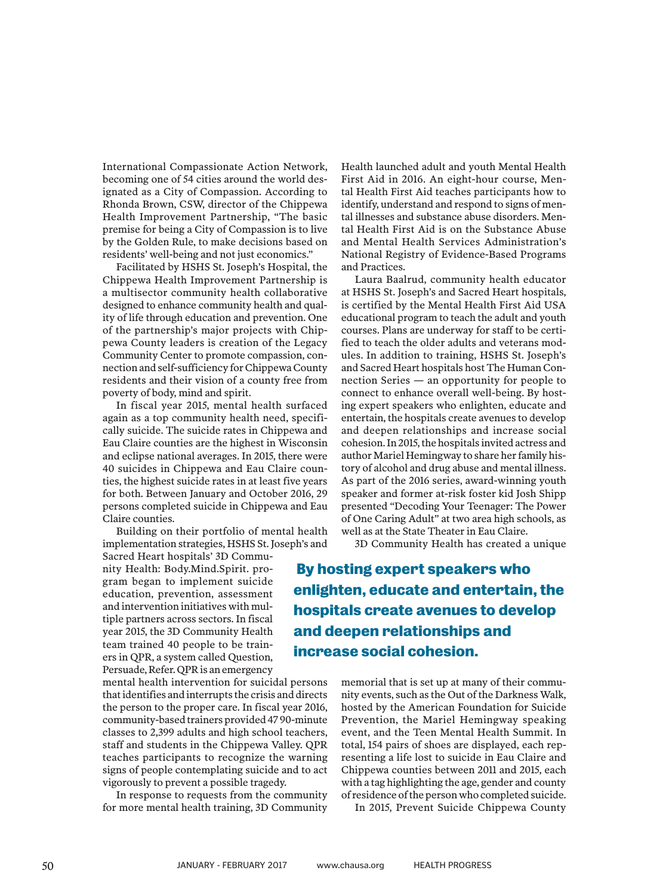International Compassionate Action Network, becoming one of 54 cities around the world designated as a City of Compassion. According to Rhonda Brown, CSW, director of the Chippewa Health Improvement Partnership, "The basic premise for being a City of Compassion is to live by the Golden Rule, to make decisions based on residents' well-being and not just economics."

Facilitated by HSHS St. Joseph's Hospital, the Chippewa Health Improvement Partnership is a multisector community health collaborative designed to enhance community health and quality of life through education and prevention. One of the partnership's major projects with Chippewa County leaders is creation of the Legacy Community Center to promote compassion, connection and self-sufficiency for Chippewa County residents and their vision of a county free from poverty of body, mind and spirit.

In fiscal year 2015, mental health surfaced again as a top community health need, specifically suicide. The suicide rates in Chippewa and Eau Claire counties are the highest in Wisconsin and eclipse national averages. In 2015, there were 40 suicides in Chippewa and Eau Claire counties, the highest suicide rates in at least five years for both. Between January and October 2016, 29 persons completed suicide in Chippewa and Eau Claire counties.

Building on their portfolio of mental health implementation strategies, HSHS St. Joseph's and

Sacred Heart hospitals' 3D Community Health: Body.Mind.Spirit. program began to implement suicide education, prevention, assessment and intervention initiatives with multiple partners across sectors. In fiscal year 2015, the 3D Community Health team trained 40 people to be trainers in QPR, a system called Question, Persuade, Refer. QPR is an emergency

mental health intervention for suicidal persons that identifies and interrupts the crisis and directs the person to the proper care. In fiscal year 2016, community-based trainers provided 47 90-minute classes to 2,399 adults and high school teachers, staff and students in the Chippewa Valley. QPR teaches participants to recognize the warning signs of people contemplating suicide and to act vigorously to prevent a possible tragedy.

In response to requests from the community for more mental health training, 3D Community

Health launched adult and youth Mental Health First Aid in 2016. An eight-hour course, Mental Health First Aid teaches participants how to identify, understand and respond to signs of mental illnesses and substance abuse disorders. Mental Health First Aid is on the Substance Abuse and Mental Health Services Administration's National Registry of Evidence-Based Programs and Practices.

Laura Baalrud, community health educator at HSHS St. Joseph's and Sacred Heart hospitals, is certified by the Mental Health First Aid USA educational program to teach the adult and youth courses. Plans are underway for staff to be certified to teach the older adults and veterans modules. In addition to training, HSHS St. Joseph's and Sacred Heart hospitals host The Human Connection Series — an opportunity for people to connect to enhance overall well-being. By hosting expert speakers who enlighten, educate and entertain, the hospitals create avenues to develop and deepen relationships and increase social cohesion. In 2015, the hospitals invited actress and author Mariel Hemingway to share her family history of alcohol and drug abuse and mental illness. As part of the 2016 series, award-winning youth speaker and former at-risk foster kid Josh Shipp presented "Decoding Your Teenager: The Power of One Caring Adult" at two area high schools, as well as at the State Theater in Eau Claire.

3D Community Health has created a unique

 **By hosting expert speakers who enlighten, educate and entertain, the hospitals create avenues to develop and deepen relationships and increase social cohesion.** 

> memorial that is set up at many of their community events, such as the Out of the Darkness Walk, hosted by the American Foundation for Suicide Prevention, the Mariel Hemingway speaking event, and the Teen Mental Health Summit. In total, 154 pairs of shoes are displayed, each representing a life lost to suicide in Eau Claire and Chippewa counties between 2011 and 2015, each with a tag highlighting the age, gender and county of residence of the person who completed suicide.

In 2015, Prevent Suicide Chippewa County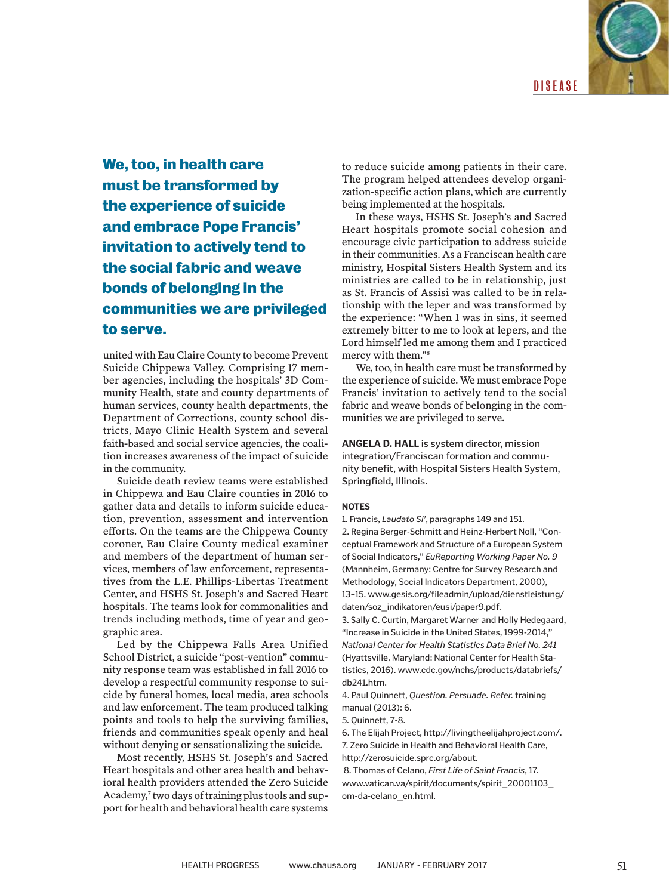

**We, too, in health care must be transformed by the experience of suicide and embrace Pope Francis' invitation to actively tend to the social fabric and weave bonds of belonging in the communities we are privileged to serve.**

united with Eau Claire County to become Prevent Suicide Chippewa Valley. Comprising 17 member agencies, including the hospitals' 3D Community Health, state and county departments of human services, county health departments, the Department of Corrections, county school districts, Mayo Clinic Health System and several faith-based and social service agencies, the coalition increases awareness of the impact of suicide in the community.

Suicide death review teams were established in Chippewa and Eau Claire counties in 2016 to gather data and details to inform suicide education, prevention, assessment and intervention efforts. On the teams are the Chippewa County coroner, Eau Claire County medical examiner and members of the department of human services, members of law enforcement, representatives from the L.E. Phillips-Libertas Treatment Center, and HSHS St. Joseph's and Sacred Heart hospitals. The teams look for commonalities and trends including methods, time of year and geographic area.

Led by the Chippewa Falls Area Unified School District, a suicide "post-vention" community response team was established in fall 2016 to develop a respectful community response to suicide by funeral homes, local media, area schools and law enforcement. The team produced talking points and tools to help the surviving families, friends and communities speak openly and heal without denying or sensationalizing the suicide.

Most recently, HSHS St. Joseph's and Sacred Heart hospitals and other area health and behavioral health providers attended the Zero Suicide Academy,<sup>7</sup> two days of training plus tools and support for health and behavioral health care systems to reduce suicide among patients in their care. The program helped attendees develop organization-specific action plans, which are currently being implemented at the hospitals.

In these ways, HSHS St. Joseph's and Sacred Heart hospitals promote social cohesion and encourage civic participation to address suicide in their communities. As a Franciscan health care ministry, Hospital Sisters Health System and its ministries are called to be in relationship, just as St. Francis of Assisi was called to be in relationship with the leper and was transformed by the experience: "When I was in sins, it seemed extremely bitter to me to look at lepers, and the Lord himself led me among them and I practiced mercy with them."8

We, too, in health care must be transformed by the experience of suicide. We must embrace Pope Francis' invitation to actively tend to the social fabric and weave bonds of belonging in the communities we are privileged to serve.

**ANGELA D. HALL** is system director, mission integration/Franciscan formation and community benefit, with Hospital Sisters Health System, Springfield, Illinois.

#### **NOTES**

1. Francis, *Laudato Si'*, paragraphs 149 and 151.

2. Regina Berger-Schmitt and Heinz-Herbert Noll, "Conceptual Framework and Structure of a European System of Social Indicators," *EuReporting Working Paper No. 9* (Mannheim, Germany: Centre for Survey Research and Methodology, Social Indicators Department, 2000), 13–15. www.gesis.org/fileadmin/upload/dienstleistung/ daten/soz\_indikatoren/eusi/paper9.pdf.

3. Sally C. Curtin, Margaret Warner and Holly Hedegaard, "Increase in Suicide in the United States, 1999-2014," *National Center for Health Statistics Data Brief No. 241* (Hyattsville, Maryland: National Center for Health Statistics, 2016). www.cdc.gov/nchs/products/databriefs/ db241.htm.

4. Paul Quinnett, *Question. Persuade. Refer.* training manual (2013): 6.

5. Quinnett, 7-8.

6. The Elijah Project, http://livingtheelijahproject.com/. 7. Zero Suicide in Health and Behavioral Health Care, http://zerosuicide.sprc.org/about.

 8. Thomas of Celano, *First Life of Saint Francis*, 17. www.vatican.va/spirit/documents/spirit\_20001103\_ om-da-celano\_en.html.